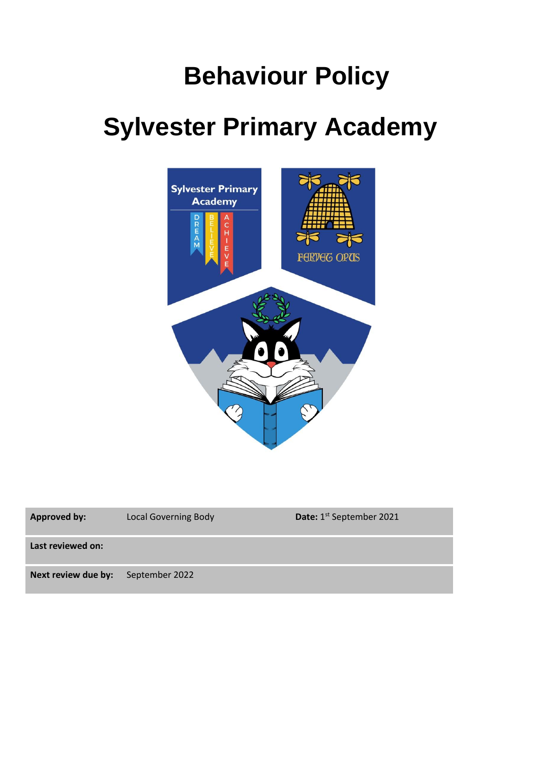## **Behaviour Policy**

# **Sylvester Primary Academy**



| <b>Approved by:</b> | <b>Local Governing Body</b> | Date: 1 <sup>st</sup> September 2021 |
|---------------------|-----------------------------|--------------------------------------|
| Last reviewed on:   |                             |                                      |
| Next review due by: | September 2022              |                                      |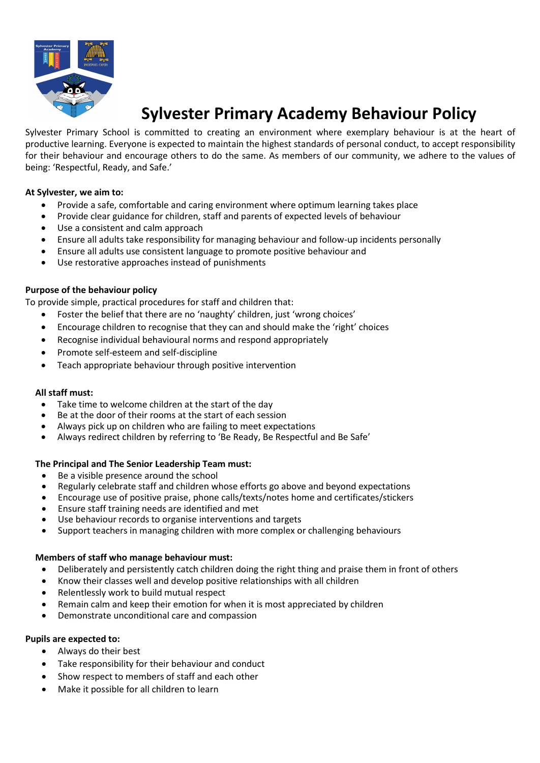

## **Sylvester Primary Academy Behaviour Policy**

Sylvester Primary School is committed to creating an environment where exemplary behaviour is at the heart of productive learning. Everyone is expected to maintain the highest standards of personal conduct, to accept responsibility for their behaviour and encourage others to do the same. As members of our community, we adhere to the values of being: 'Respectful, Ready, and Safe.'

#### **At Sylvester, we aim to:**

- Provide a safe, comfortable and caring environment where optimum learning takes place
- Provide clear guidance for children, staff and parents of expected levels of behaviour
- Use a consistent and calm approach
- Ensure all adults take responsibility for managing behaviour and follow-up incidents personally
- Ensure all adults use consistent language to promote positive behaviour and
- Use restorative approaches instead of punishments

#### **Purpose of the behaviour policy**

To provide simple, practical procedures for staff and children that:

- Foster the belief that there are no 'naughty' children, just 'wrong choices'
- Encourage children to recognise that they can and should make the 'right' choices
- Recognise individual behavioural norms and respond appropriately
- Promote self-esteem and self-discipline
- Teach appropriate behaviour through positive intervention

#### **All staff must:**

- Take time to welcome children at the start of the day
- Be at the door of their rooms at the start of each session
- Always pick up on children who are failing to meet expectations
- Always redirect children by referring to 'Be Ready, Be Respectful and Be Safe'

#### **The Principal and The Senior Leadership Team must:**

- Be a visible presence around the school
- Regularly celebrate staff and children whose efforts go above and beyond expectations
- Encourage use of positive praise, phone calls/texts/notes home and certificates/stickers
- Ensure staff training needs are identified and met
- Use behaviour records to organise interventions and targets
- Support teachers in managing children with more complex or challenging behaviours

#### **Members of staff who manage behaviour must:**

- Deliberately and persistently catch children doing the right thing and praise them in front of others
- Know their classes well and develop positive relationships with all children
- Relentlessly work to build mutual respect
- Remain calm and keep their emotion for when it is most appreciated by children
- Demonstrate unconditional care and compassion

#### **Pupils are expected to:**

- Always do their best
- Take responsibility for their behaviour and conduct
- Show respect to members of staff and each other
- Make it possible for all children to learn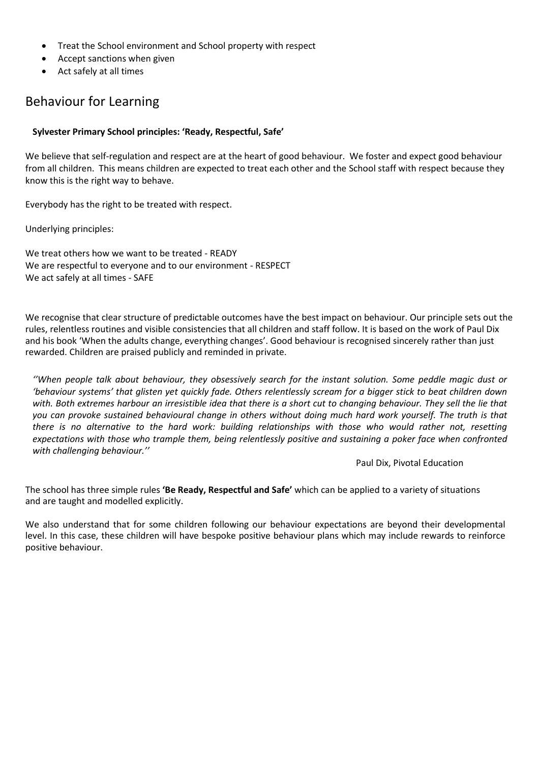- Treat the School environment and School property with respect
- Accept sanctions when given
- Act safely at all times

### Behaviour for Learning

#### **Sylvester Primary School principles: 'Ready, Respectful, Safe'**

We believe that self-regulation and respect are at the heart of good behaviour. We foster and expect good behaviour from all children. This means children are expected to treat each other and the School staff with respect because they know this is the right way to behave.

Everybody has the right to be treated with respect.

Underlying principles:

We treat others how we want to be treated - READY We are respectful to everyone and to our environment - RESPECT We act safely at all times - SAFE

We recognise that clear structure of predictable outcomes have the best impact on behaviour. Our principle sets out the rules, relentless routines and visible consistencies that all children and staff follow. It is based on the work of Paul Dix and his book 'When the adults change, everything changes'. Good behaviour is recognised sincerely rather than just rewarded. Children are praised publicly and reminded in private.

*''When people talk about behaviour, they obsessively search for the instant solution. Some peddle magic dust or 'behaviour systems' that glisten yet quickly fade. Others relentlessly scream for a bigger stick to beat children down*  with. Both extremes harbour an irresistible idea that there is a short cut to changing behaviour. They sell the lie that *you can provoke sustained behavioural change in others without doing much hard work yourself. The truth is that there is no alternative to the hard work: building relationships with those who would rather not, resetting*  expectations with those who trample them, being relentlessly positive and sustaining a poker face when confronted *with challenging behaviour.''*

Paul Dix, Pivotal Education

The school has three simple rules **'Be Ready, Respectful and Safe'** which can be applied to a variety of situations and are taught and modelled explicitly.

We also understand that for some children following our behaviour expectations are beyond their developmental level. In this case, these children will have bespoke positive behaviour plans which may include rewards to reinforce positive behaviour.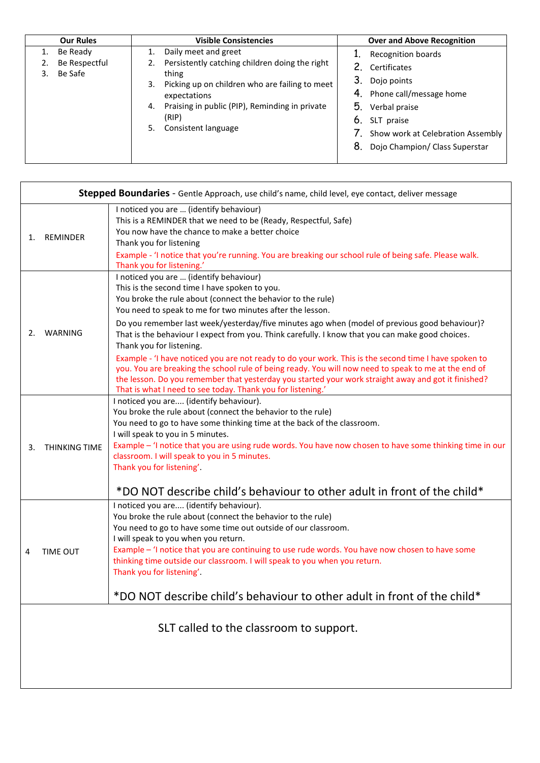| <b>Our Rules</b>                              | <b>Visible Consistencies</b>                                                                                                                                                                                                                       | <b>Over and Above Recognition</b>                                                                                                                                                                             |
|-----------------------------------------------|----------------------------------------------------------------------------------------------------------------------------------------------------------------------------------------------------------------------------------------------------|---------------------------------------------------------------------------------------------------------------------------------------------------------------------------------------------------------------|
| 1. Be Ready<br>Be Respectful<br>Be Safe<br>3. | Daily meet and greet<br>Persistently catching children doing the right<br>thing<br>Picking up on children who are failing to meet<br>3.<br>expectations<br>4. Praising in public (PIP), Reminding in private<br>(RIP)<br>Consistent language<br>5. | Recognition boards<br>2. Certificates<br>3.<br>Dojo points<br>4. Phone call/message home<br>5.<br>Verbal praise<br>6. SLT praise<br>7. Show work at Celebration Assembly<br>8. Dojo Champion/ Class Superstar |

| Stepped Boundaries - Gentle Approach, use child's name, child level, eye contact, deliver message |                      |                                                                                                                                                                                                                                                                                                                                                                                                                                                                                                                                                                                                                                                                                                     |  |  |
|---------------------------------------------------------------------------------------------------|----------------------|-----------------------------------------------------------------------------------------------------------------------------------------------------------------------------------------------------------------------------------------------------------------------------------------------------------------------------------------------------------------------------------------------------------------------------------------------------------------------------------------------------------------------------------------------------------------------------------------------------------------------------------------------------------------------------------------------------|--|--|
| 1.                                                                                                | <b>REMINDER</b>      | I noticed you are  (identify behaviour)<br>This is a REMINDER that we need to be (Ready, Respectful, Safe)<br>You now have the chance to make a better choice<br>Thank you for listening<br>Example - 'I notice that you're running. You are breaking our school rule of being safe. Please walk.                                                                                                                                                                                                                                                                                                                                                                                                   |  |  |
| 2.                                                                                                | WARNING              | Thank you for listening.'<br>I noticed you are  (identify behaviour)<br>This is the second time I have spoken to you.<br>You broke the rule about (connect the behavior to the rule)<br>You need to speak to me for two minutes after the lesson.<br>Do you remember last week/yesterday/five minutes ago when (model of previous good behaviour)?<br>That is the behaviour I expect from you. Think carefully. I know that you can make good choices.<br>Thank you for listening.<br>Example - 'I have noticed you are not ready to do your work. This is the second time I have spoken to<br>you. You are breaking the school rule of being ready. You will now need to speak to me at the end of |  |  |
|                                                                                                   |                      | the lesson. Do you remember that yesterday you started your work straight away and got it finished?<br>That is what I need to see today. Thank you for listening.'                                                                                                                                                                                                                                                                                                                                                                                                                                                                                                                                  |  |  |
| 3.                                                                                                | <b>THINKING TIME</b> | I noticed you are (identify behaviour).<br>You broke the rule about (connect the behavior to the rule)<br>You need to go to have some thinking time at the back of the classroom.<br>I will speak to you in 5 minutes.<br>Example - 'I notice that you are using rude words. You have now chosen to have some thinking time in our<br>classroom. I will speak to you in 5 minutes.<br>Thank you for listening'.<br>*DO NOT describe child's behaviour to other adult in front of the child*                                                                                                                                                                                                         |  |  |
| 4                                                                                                 | <b>TIME OUT</b>      | I noticed you are (identify behaviour).<br>You broke the rule about (connect the behavior to the rule)<br>You need to go to have some time out outside of our classroom.<br>I will speak to you when you return.<br>Example - 'I notice that you are continuing to use rude words. You have now chosen to have some<br>thinking time outside our classroom. I will speak to you when you return.<br>Thank you for listening'.<br>*DO NOT describe child's behaviour to other adult in front of the child*                                                                                                                                                                                           |  |  |
| SLT called to the classroom to support.                                                           |                      |                                                                                                                                                                                                                                                                                                                                                                                                                                                                                                                                                                                                                                                                                                     |  |  |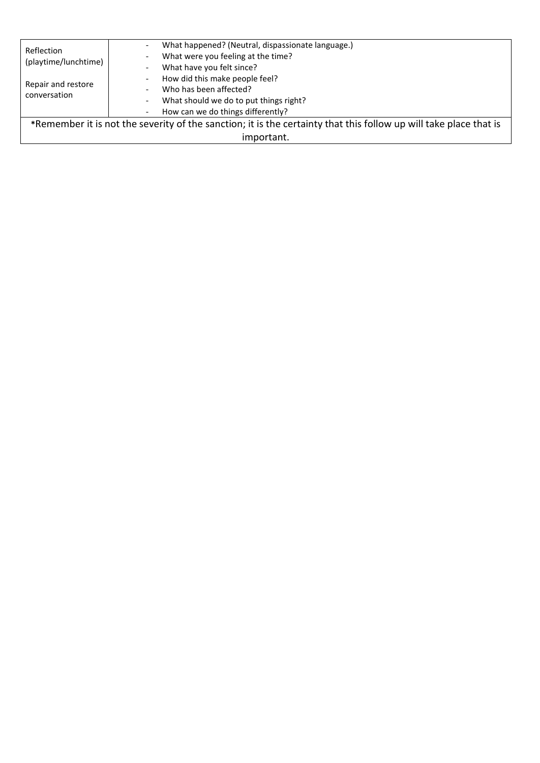| Reflection<br>(playtime/lunchtime)<br>Repair and restore<br>conversation                                          | What happened? (Neutral, dispassionate language.)<br>$\overline{\phantom{0}}$<br>What were you feeling at the time?<br>$\overline{\phantom{a}}$<br>What have you felt since?<br>$\overline{\phantom{a}}$<br>How did this make people feel?<br>$\overline{\phantom{a}}$<br>Who has been affected?<br>$\qquad \qquad \blacksquare$<br>What should we do to put things right?<br>$\overline{\phantom{a}}$<br>How can we do things differently? |  |
|-------------------------------------------------------------------------------------------------------------------|---------------------------------------------------------------------------------------------------------------------------------------------------------------------------------------------------------------------------------------------------------------------------------------------------------------------------------------------------------------------------------------------------------------------------------------------|--|
|                                                                                                                   | $\overline{\phantom{0}}$                                                                                                                                                                                                                                                                                                                                                                                                                    |  |
| *Remember it is not the severity of the sanction; it is the certainty that this follow up will take place that is |                                                                                                                                                                                                                                                                                                                                                                                                                                             |  |
| important.                                                                                                        |                                                                                                                                                                                                                                                                                                                                                                                                                                             |  |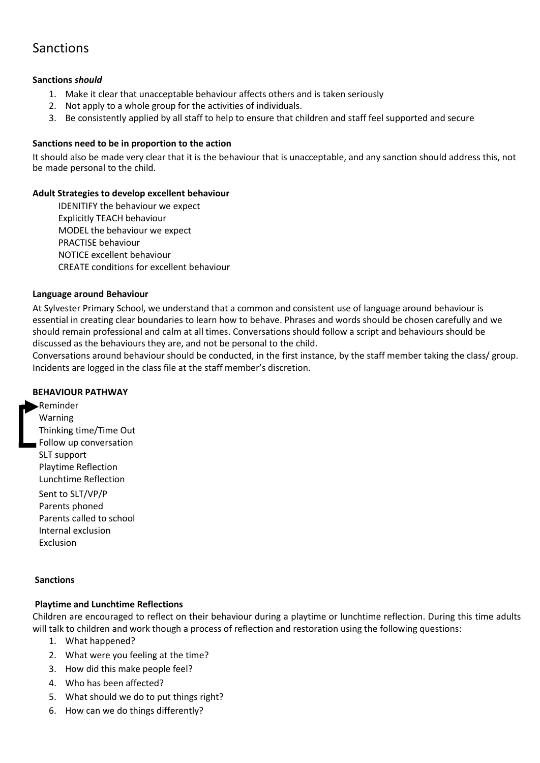### Sanctions

#### **Sanctions** *should*

- 1. Make it clear that unacceptable behaviour affects others and is taken seriously
- 2. Not apply to a whole group for the activities of individuals.
- 3. Be consistently applied by all staff to help to ensure that children and staff feel supported and secure

#### **Sanctions need to be in proportion to the action**

It should also be made very clear that it is the behaviour that is unacceptable, and any sanction should address this, not be made personal to the child.

#### **Adult Strategies to develop excellent behaviour**

IDENITIFY the behaviour we expect Explicitly TEACH behaviour MODEL the behaviour we expect PRACTISE behaviour NOTICE excellent behaviour CREATE conditions for excellent behaviour

#### **Language around Behaviour**

At Sylvester Primary School, we understand that a common and consistent use of language around behaviour is essential in creating clear boundaries to learn how to behave. Phrases and words should be chosen carefully and we should remain professional and calm at all times. Conversations should follow a script and behaviours should be discussed as the behaviours they are, and not be personal to the child.

Conversations around behaviour should be conducted, in the first instance, by the staff member taking the class/ group. Incidents are logged in the class file at the staff member's discretion.

#### **BEHAVIOUR PATHWAY**

Reminder Warning Thinking time/Time Out Follow up conversation SLT support Playtime Reflection Lunchtime Reflection Sent to SLT/VP/P Parents phoned Parents called to school Internal exclusion

#### **Sanctions**

Exclusion

#### **Playtime and Lunchtime Reflections**

Children are encouraged to reflect on their behaviour during a playtime or lunchtime reflection. During this time adults will talk to children and work though a process of reflection and restoration using the following questions:

- 1. What happened?
- 2. What were you feeling at the time?
- 3. How did this make people feel?
- 4. Who has been affected?
- 5. What should we do to put things right?
- 6. How can we do things differently?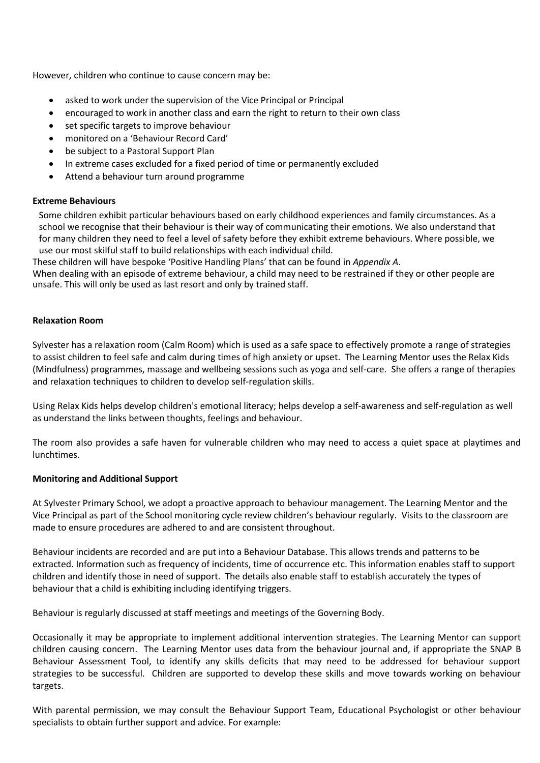However, children who continue to cause concern may be:

- asked to work under the supervision of the Vice Principal or Principal
- encouraged to work in another class and earn the right to return to their own class
- set specific targets to improve behaviour
- monitored on a 'Behaviour Record Card'
- be subject to a Pastoral Support Plan
- In extreme cases excluded for a fixed period of time or permanently excluded
- Attend a behaviour turn around programme

#### **Extreme Behaviours**

Some children exhibit particular behaviours based on early childhood experiences and family circumstances. As a school we recognise that their behaviour is their way of communicating their emotions. We also understand that for many children they need to feel a level of safety before they exhibit extreme behaviours. Where possible, we use our most skilful staff to build relationships with each individual child.

These children will have bespoke 'Positive Handling Plans' that can be found in *Appendix A*.

When dealing with an episode of extreme behaviour, a child may need to be restrained if they or other people are unsafe. This will only be used as last resort and only by trained staff.

#### **Relaxation Room**

Sylvester has a relaxation room (Calm Room) which is used as a safe space to effectively promote a range of strategies to assist children to feel safe and calm during times of high anxiety or upset. The Learning Mentor uses the Relax Kids (Mindfulness) programmes, massage and wellbeing sessions such as yoga and self-care. She offers a range of therapies and relaxation techniques to children to develop self-regulation skills.

Using Relax Kids helps develop children's emotional literacy; helps develop a self-awareness and self-regulation as well as understand the links between thoughts, feelings and behaviour.

The room also provides a safe haven for vulnerable children who may need to access a quiet space at playtimes and lunchtimes.

#### **Monitoring and Additional Support**

At Sylvester Primary School, we adopt a proactive approach to behaviour management. The Learning Mentor and the Vice Principal as part of the School monitoring cycle review children's behaviour regularly. Visits to the classroom are made to ensure procedures are adhered to and are consistent throughout.

Behaviour incidents are recorded and are put into a Behaviour Database. This allows trends and patterns to be extracted. Information such as frequency of incidents, time of occurrence etc. This information enables staff to support children and identify those in need of support. The details also enable staff to establish accurately the types of behaviour that a child is exhibiting including identifying triggers.

Behaviour is regularly discussed at staff meetings and meetings of the Governing Body.

Occasionally it may be appropriate to implement additional intervention strategies. The Learning Mentor can support children causing concern. The Learning Mentor uses data from the behaviour journal and, if appropriate the SNAP B Behaviour Assessment Tool, to identify any skills deficits that may need to be addressed for behaviour support strategies to be successful. Children are supported to develop these skills and move towards working on behaviour targets.

With parental permission, we may consult the Behaviour Support Team, Educational Psychologist or other behaviour specialists to obtain further support and advice. For example: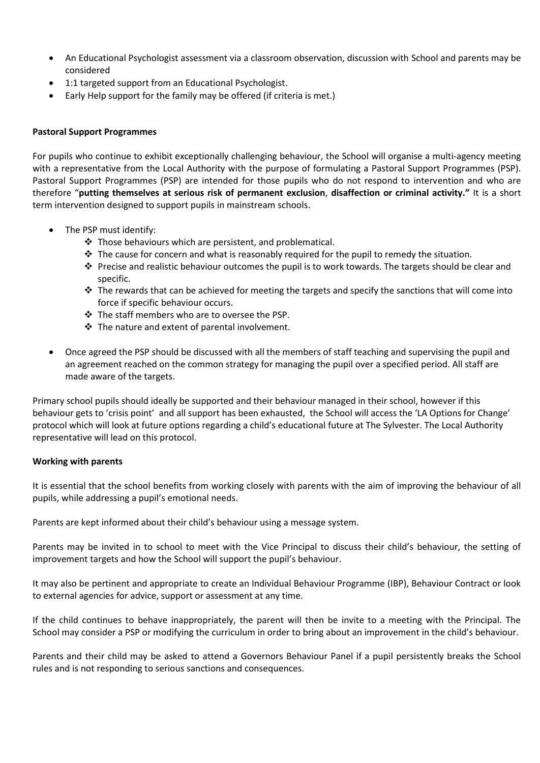- An Educational Psychologist assessment via a classroom observation, discussion with School and parents may be considered
- 1:1 targeted support from an Educational Psychologist.
- Early Help support for the family may be offered (if criteria is met.)

#### **Pastoral Support Programmes**

For pupils who continue to exhibit exceptionally challenging behaviour, the School will organise a multi-agency meeting with a representative from the Local Authority with the purpose of formulating a Pastoral Support Programmes (PSP). Pastoral Support Programmes (PSP) are intended for those pupils who do not respond to intervention and who are therefore "**putting themselves at serious risk of permanent exclusion**, **disaffection or criminal activity."** It is a short term intervention designed to support pupils in mainstream schools.

- The PSP must identify:
	- ❖ Those behaviours which are persistent, and problematical.
	- $\cdot \cdot$  The cause for concern and what is reasonably required for the pupil to remedy the situation.
	- ◆ Precise and realistic behaviour outcomes the pupil is to work towards. The targets should be clear and specific.
	- $\dots$  The rewards that can be achieved for meeting the targets and specify the sanctions that will come into force if specific behaviour occurs.
	- ❖ The staff members who are to oversee the PSP.
	- ❖ The nature and extent of parental involvement.
- Once agreed the PSP should be discussed with all the members of staff teaching and supervising the pupil and an agreement reached on the common strategy for managing the pupil over a specified period. All staff are made aware of the targets.

Primary school pupils should ideally be supported and their behaviour managed in their school, however if this behaviour gets to 'crisis point' and all support has been exhausted, the School will access the 'LA Options for Change' protocol which will look at future options regarding a child's educational future at The Sylvester. The Local Authority representative will lead on this protocol.

#### **Working with parents**

It is essential that the school benefits from working closely with parents with the aim of improving the behaviour of all pupils, while addressing a pupil's emotional needs.

Parents are kept informed about their child's behaviour using a message system.

Parents may be invited in to school to meet with the Vice Principal to discuss their child's behaviour, the setting of improvement targets and how the School will support the pupil's behaviour.

It may also be pertinent and appropriate to create an Individual Behaviour Programme (IBP), Behaviour Contract or look to external agencies for advice, support or assessment at any time.

If the child continues to behave inappropriately, the parent will then be invite to a meeting with the Principal. The School may consider a PSP or modifying the curriculum in order to bring about an improvement in the child's behaviour.

Parents and their child may be asked to attend a Governors Behaviour Panel if a pupil persistently breaks the School rules and is not responding to serious sanctions and consequences.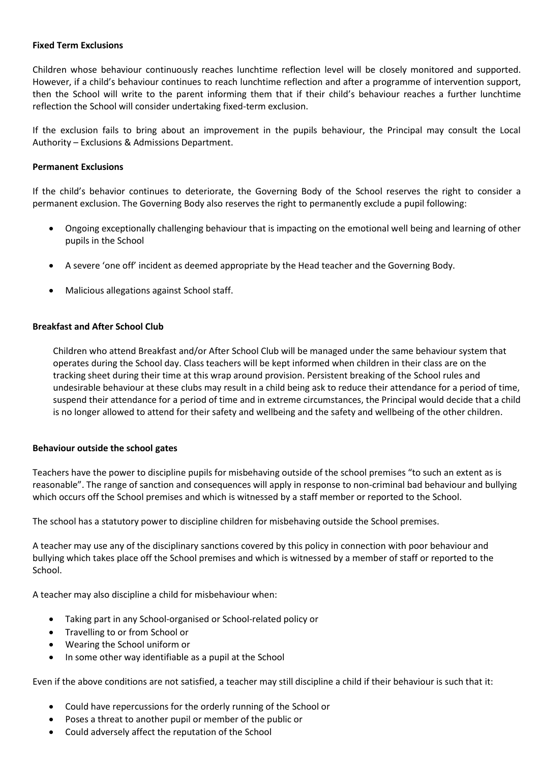#### **Fixed Term Exclusions**

Children whose behaviour continuously reaches lunchtime reflection level will be closely monitored and supported. However, if a child's behaviour continues to reach lunchtime reflection and after a programme of intervention support, then the School will write to the parent informing them that if their child's behaviour reaches a further lunchtime reflection the School will consider undertaking fixed-term exclusion.

If the exclusion fails to bring about an improvement in the pupils behaviour, the Principal may consult the Local Authority – Exclusions & Admissions Department.

#### **Permanent Exclusions**

If the child's behavior continues to deteriorate, the Governing Body of the School reserves the right to consider a permanent exclusion. The Governing Body also reserves the right to permanently exclude a pupil following:

- Ongoing exceptionally challenging behaviour that is impacting on the emotional well being and learning of other pupils in the School
- A severe 'one off' incident as deemed appropriate by the Head teacher and the Governing Body.
- Malicious allegations against School staff.

#### **Breakfast and After School Club**

Children who attend Breakfast and/or After School Club will be managed under the same behaviour system that operates during the School day. Class teachers will be kept informed when children in their class are on the tracking sheet during their time at this wrap around provision. Persistent breaking of the School rules and undesirable behaviour at these clubs may result in a child being ask to reduce their attendance for a period of time, suspend their attendance for a period of time and in extreme circumstances, the Principal would decide that a child is no longer allowed to attend for their safety and wellbeing and the safety and wellbeing of the other children.

#### **Behaviour outside the school gates**

Teachers have the power to discipline pupils for misbehaving outside of the school premises "to such an extent as is reasonable". The range of sanction and consequences will apply in response to non-criminal bad behaviour and bullying which occurs off the School premises and which is witnessed by a staff member or reported to the School.

The school has a statutory power to discipline children for misbehaving outside the School premises.

A teacher may use any of the disciplinary sanctions covered by this policy in connection with poor behaviour and bullying which takes place off the School premises and which is witnessed by a member of staff or reported to the School.

A teacher may also discipline a child for misbehaviour when:

- Taking part in any School-organised or School-related policy or
- Travelling to or from School or
- Wearing the School uniform or
- In some other way identifiable as a pupil at the School

Even if the above conditions are not satisfied, a teacher may still discipline a child if their behaviour is such that it:

- Could have repercussions for the orderly running of the School or
- Poses a threat to another pupil or member of the public or
- Could adversely affect the reputation of the School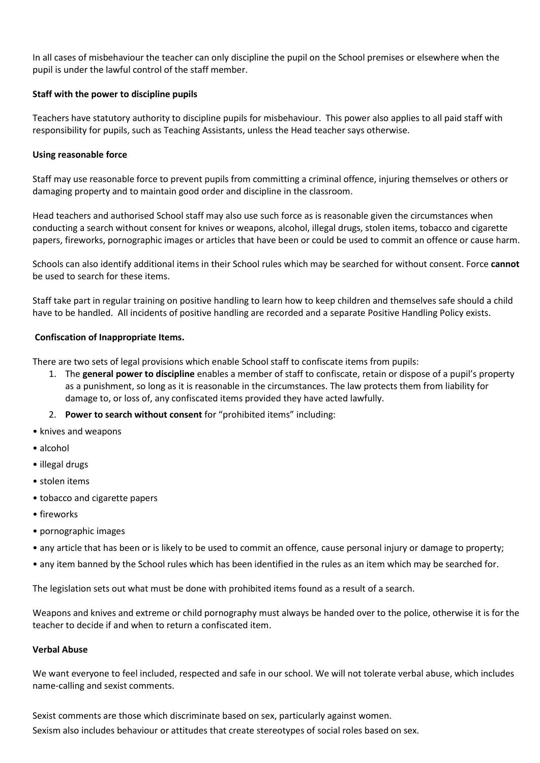In all cases of misbehaviour the teacher can only discipline the pupil on the School premises or elsewhere when the pupil is under the lawful control of the staff member.

#### **Staff with the power to discipline pupils**

Teachers have statutory authority to discipline pupils for misbehaviour. This power also applies to all paid staff with responsibility for pupils, such as Teaching Assistants, unless the Head teacher says otherwise.

#### **Using reasonable force**

Staff may use reasonable force to prevent pupils from committing a criminal offence, injuring themselves or others or damaging property and to maintain good order and discipline in the classroom.

Head teachers and authorised School staff may also use such force as is reasonable given the circumstances when conducting a search without consent for knives or weapons, alcohol, illegal drugs, stolen items, tobacco and cigarette papers, fireworks, pornographic images or articles that have been or could be used to commit an offence or cause harm.

Schools can also identify additional items in their School rules which may be searched for without consent. Force **cannot** be used to search for these items.

Staff take part in regular training on positive handling to learn how to keep children and themselves safe should a child have to be handled. All incidents of positive handling are recorded and a separate Positive Handling Policy exists.

#### **Confiscation of Inappropriate Items.**

There are two sets of legal provisions which enable School staff to confiscate items from pupils:

- 1. The **general power to discipline** enables a member of staff to confiscate, retain or dispose of a pupil's property as a punishment, so long as it is reasonable in the circumstances. The law protects them from liability for damage to, or loss of, any confiscated items provided they have acted lawfully.
- 2. **Power to search without consent** for "prohibited items" including:
- knives and weapons
- alcohol
- illegal drugs
- stolen items
- tobacco and cigarette papers
- fireworks
- pornographic images
- any article that has been or is likely to be used to commit an offence, cause personal injury or damage to property;
- any item banned by the School rules which has been identified in the rules as an item which may be searched for.

The legislation sets out what must be done with prohibited items found as a result of a search.

Weapons and knives and extreme or child pornography must always be handed over to the police, otherwise it is for the teacher to decide if and when to return a confiscated item.

#### **Verbal Abuse**

We want everyone to feel included, respected and safe in our school. We will not tolerate verbal abuse, which includes name-calling and sexist comments.

Sexist comments are those which discriminate based on sex, particularly against women. Sexism also includes behaviour or attitudes that create stereotypes of social roles based on sex.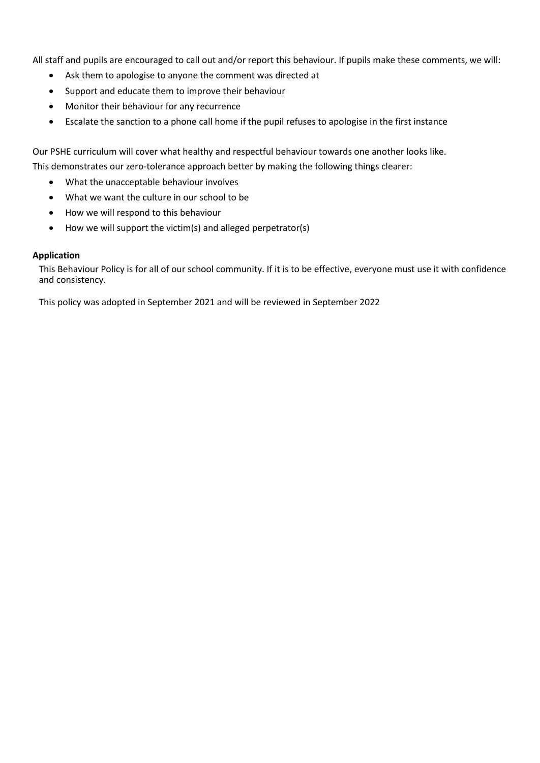All staff and pupils are encouraged to call out and/or report this behaviour. If pupils make these comments, we will:

- Ask them to apologise to anyone the comment was directed at
- Support and educate them to improve their behaviour
- Monitor their behaviour for any recurrence
- Escalate the sanction to a phone call home if the pupil refuses to apologise in the first instance

Our PSHE curriculum will cover what healthy and respectful behaviour towards one another looks like. This demonstrates our zero-tolerance approach better by making the following things clearer:

- What the unacceptable behaviour involves
- What we want the culture in our school to be
- How we will respond to this behaviour
- How we will support the victim(s) and alleged perpetrator(s)

#### **Application**

This Behaviour Policy is for all of our school community. If it is to be effective, everyone must use it with confidence and consistency.

This policy was adopted in September 2021 and will be reviewed in September 2022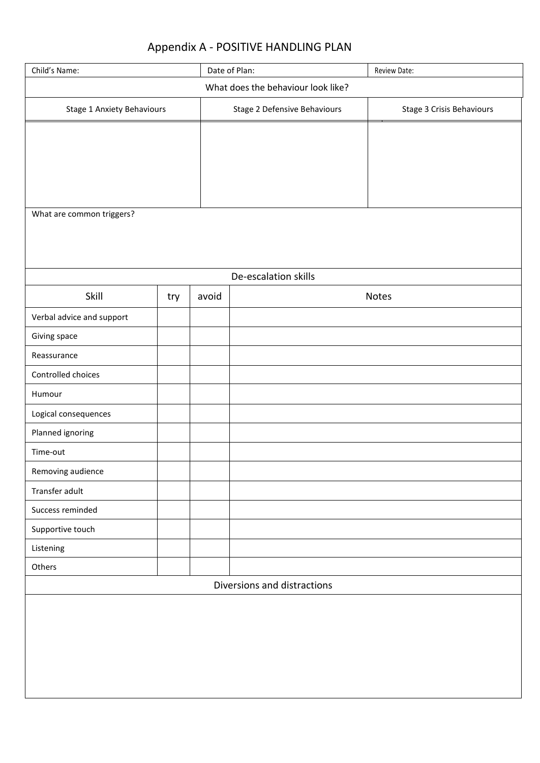## Appendix A - POSITIVE HANDLING PLAN

| Child's Name:                      |     |       | Date of Plan:<br>Review Date: |                           |
|------------------------------------|-----|-------|-------------------------------|---------------------------|
| What does the behaviour look like? |     |       |                               |                           |
| Stage 1 Anxiety Behaviours         |     |       | Stage 2 Defensive Behaviours  | Stage 3 Crisis Behaviours |
|                                    |     |       |                               |                           |
|                                    |     |       |                               |                           |
|                                    |     |       |                               |                           |
|                                    |     |       |                               |                           |
| What are common triggers?          |     |       |                               |                           |
|                                    |     |       |                               |                           |
|                                    |     |       |                               |                           |
|                                    |     |       | De-escalation skills          |                           |
| Skill                              | try | avoid |                               | Notes                     |
| Verbal advice and support          |     |       |                               |                           |
| Giving space                       |     |       |                               |                           |
| Reassurance                        |     |       |                               |                           |
| Controlled choices                 |     |       |                               |                           |
| Humour                             |     |       |                               |                           |
| Logical consequences               |     |       |                               |                           |
| Planned ignoring                   |     |       |                               |                           |
| Time-out                           |     |       |                               |                           |
| Removing audience                  |     |       |                               |                           |
| Transfer adult                     |     |       |                               |                           |
| Success reminded                   |     |       |                               |                           |
| Supportive touch                   |     |       |                               |                           |
| Listening                          |     |       |                               |                           |
| Others                             |     |       |                               |                           |
| Diversions and distractions        |     |       |                               |                           |
|                                    |     |       |                               |                           |
|                                    |     |       |                               |                           |
|                                    |     |       |                               |                           |
|                                    |     |       |                               |                           |
|                                    |     |       |                               |                           |
|                                    |     |       |                               |                           |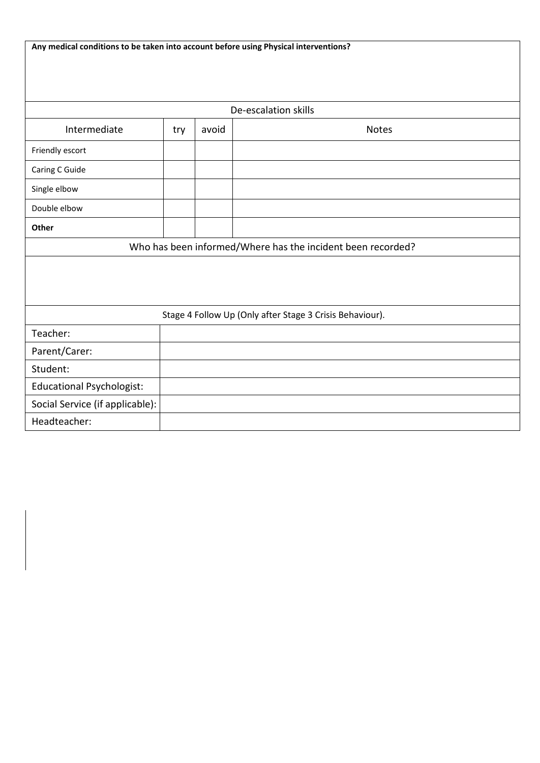| Any medical conditions to be taken into account before using Physical interventions? |     |       |                      |
|--------------------------------------------------------------------------------------|-----|-------|----------------------|
|                                                                                      |     |       |                      |
|                                                                                      |     |       |                      |
|                                                                                      |     |       | De-escalation skills |
| Intermediate                                                                         | try | avoid | <b>Notes</b>         |
| Friendly escort                                                                      |     |       |                      |
| Caring C Guide                                                                       |     |       |                      |
| Single elbow                                                                         |     |       |                      |
| Double elbow                                                                         |     |       |                      |
| Other                                                                                |     |       |                      |
| Who has been informed/Where has the incident been recorded?                          |     |       |                      |
|                                                                                      |     |       |                      |
|                                                                                      |     |       |                      |
|                                                                                      |     |       |                      |
| Stage 4 Follow Up (Only after Stage 3 Crisis Behaviour).                             |     |       |                      |
| Teacher:                                                                             |     |       |                      |
| Parent/Carer:                                                                        |     |       |                      |
| Student:                                                                             |     |       |                      |
| <b>Educational Psychologist:</b>                                                     |     |       |                      |
| Social Service (if applicable):                                                      |     |       |                      |
| Headteacher:                                                                         |     |       |                      |